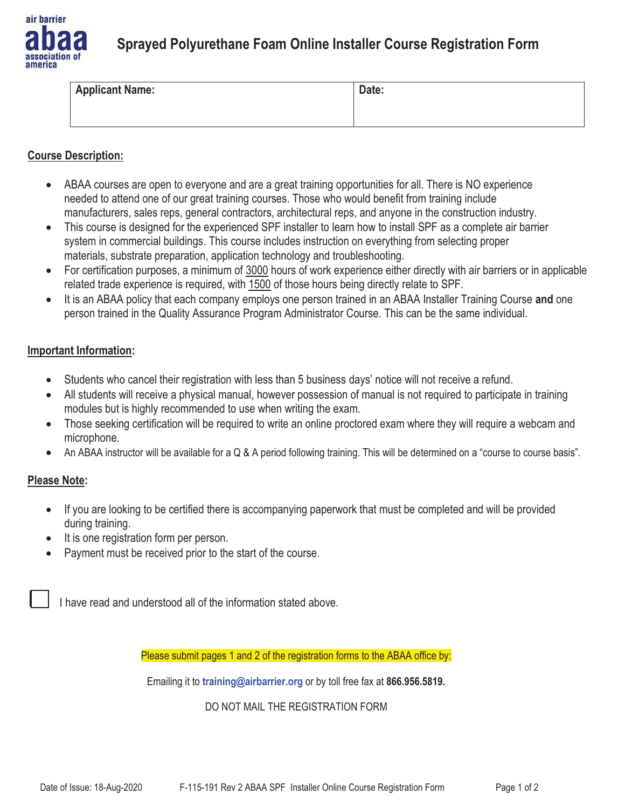

# **Sprayed Polyurethane Foam Online Installer Course Registration Form**

| <b>Applicant Name:</b> | Date: |
|------------------------|-------|
|                        |       |

### **Course Description:**

- ABAA courses are open to everyone and are a great training opportunities for all. There is NO experience needed to attend one of our great training courses. Those who would benefit from training include manufacturers, sales reps, general contractors, architectural reps, and anyone in the construction industry.
- $\bullet$  This course is designed for the experienced SPF installer to learn how to install SPF as a complete air barrier system in commercial buildings. This course includes instruction on everything from selecting proper materials, substrate preparation, application technology and troubleshooting.
- $\bullet$  For certification purposes, a minimum of 3000 hours of work experience either directly with air barriers or in applicable related trade experience is required, with 1500 of those hours being directly relate to SPF.
- $\bullet$  It is an ABAA policy that each company employs one person trained in an ABAA Installer Training Course **and** one person trained in the Quality Assurance Program Administrator Course. This can be the same individual.

#### **Important Information:**

- $\bullet$ Students who cancel their registration with less than 5 business days' notice will not receive a refund.
- $\bullet$  All students will receive a physical manual, however possession of manual is not required to participate in training modules but is highly recommended to use when writing the exam.
- $\bullet$  Those seeking certification will be required to write an online proctored exam where they will require a webcam and microphone.
- $\bullet$ An ABAA instructor will be available for a Q & A period following training. This will be determined on a "course to course basis".

## **Please Note:**

- $\bullet$  If you are looking to be certified there is accompanying paperwork that must be completed and will be provided during training.
- It is one registration form per person.
- -Payment must be received prior to the start of the course.

I have read and understood all of the information stated above.

Please submit pages 1 and 2 of the registration forms to the ABAA office by:

Emailing it to **training@airbarrier.org** or by toll free fax at **866.956.5819.** 

#### DO NOT MAIL THE REGISTRATION FORM